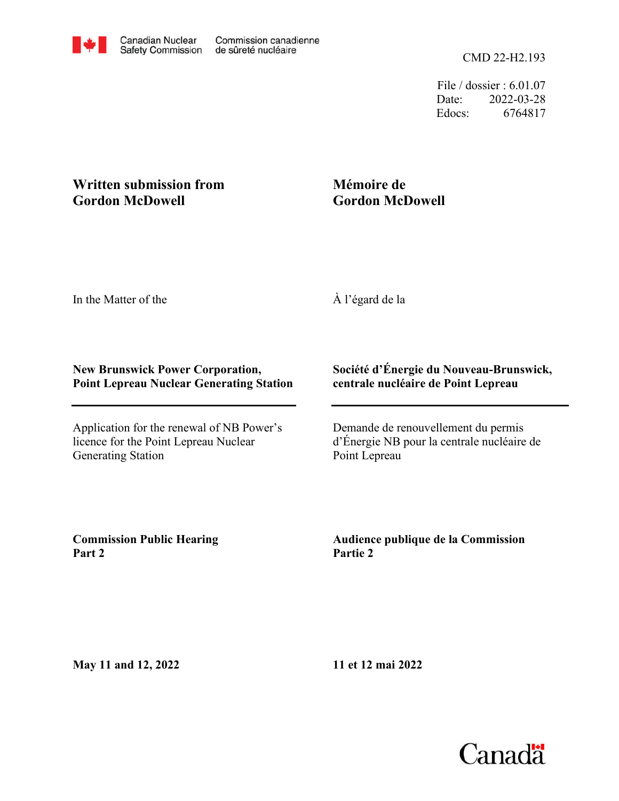File / dossier : 6.01.07 Date: 2022-03-28 Edocs: 6764817

# **Written submission from Gordon McDowell**

# **Mémoire de Gordon McDowell**

In the Matter of the

À l'égard de la

## **New Brunswick Power Corporation, Point Lepreau Nuclear Generating Station**

Application for the renewal of NB Power's licence for the Point Lepreau Nuclear Generating Station

## **Société d'Énergie du Nouveau-Brunswick, centrale nucléaire de Point Lepreau**

Demande de renouvellement du permis d'Énergie NB pour la centrale nucléaire de Point Lepreau

**Commission Public Hearing Part 2**

**Audience publique de la Commission Partie 2**

**May 11 and 12, 2022**

**11 et 12 mai 2022**

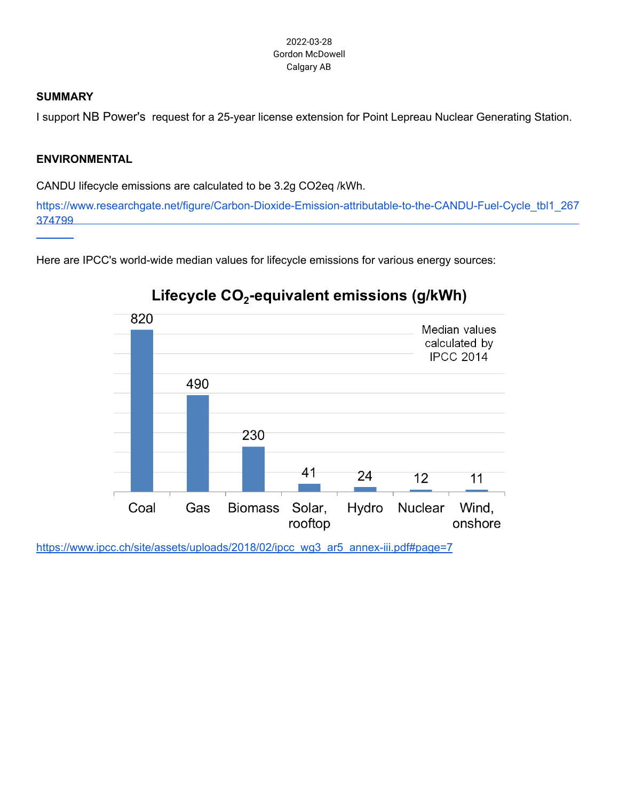### **SUMMARY**

I support NB Power's request for a 25-year license extension for Point Lepreau Nuclear Generating Station.

## **ENVIRONMENTAL**

CANDU lifecycle emissions are calculated to be 3.2g CO2eq /kWh.

[374799](https://www.researchgate.net/figure/Carbon-Dioxide-Emission-attributable-to-the-CANDU-Fuel-Cycle_tbl1_267374799) https://www.researchgate.net/figure/Carbon-Dioxide-Emission-attributable-to-the-CANDU-Fuel-Cycle\_tbl1\_267

Here are IPCC's world-wide median values for lifecycle emissions for various energy sources:



# Lifecycle CO<sub>2</sub>-equivalent emissions (g/kWh)

[https://www.ipcc.ch/site/assets/uploads/2018/02/ipcc\\_wg3\\_ar5\\_annex-iii.pdf#page=7](https://www.ipcc.ch/site/assets/uploads/2018/02/ipcc_wg3_ar5_annex-iii.pdf#page=7)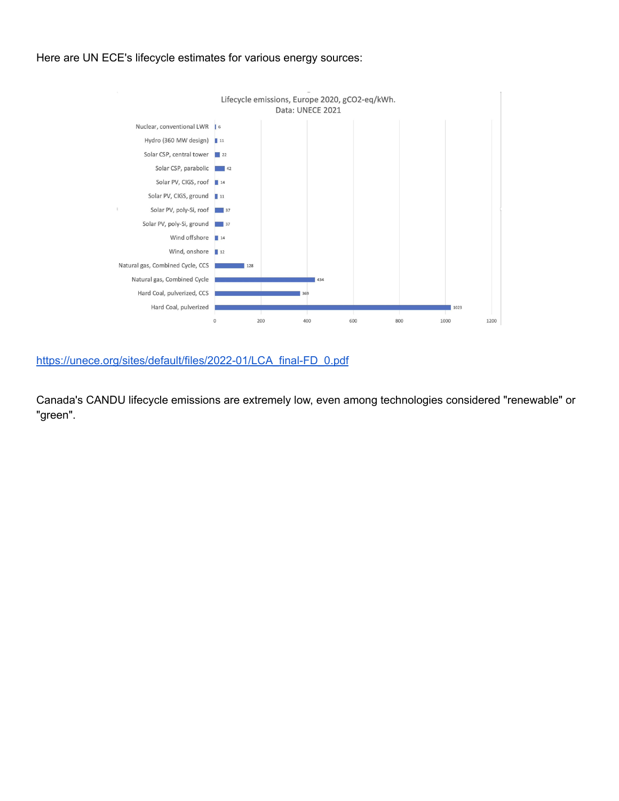### Here are UN ECE's lifecycle estimates for various energy sources:



[https://unece.org/sites/default/files/2022-01/LCA\\_final-FD\\_0.pdf](https://unece.org/sites/default/files/2022-01/LCA_final-FD_0.pdf)

Canada's CANDU lifecycle emissions are extremely low, even among technologies considered "renewable" or "green".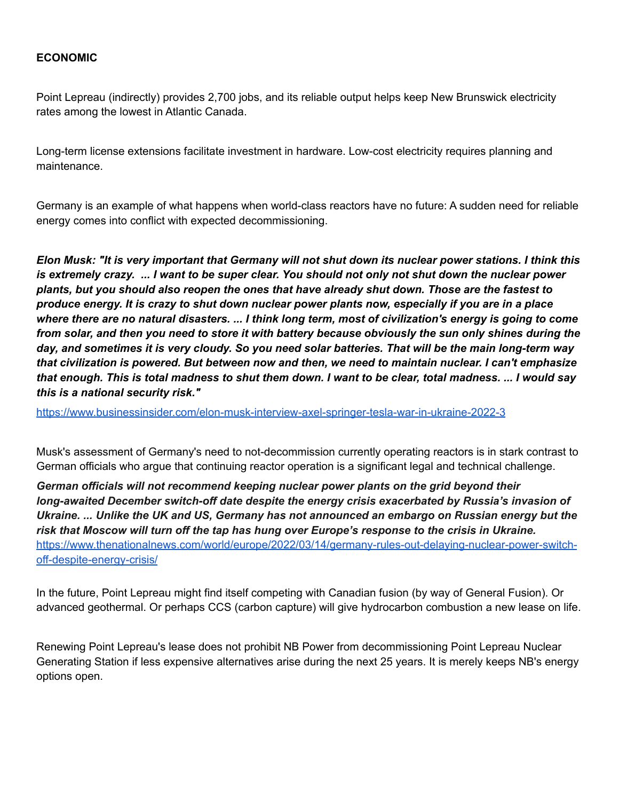### **ECONOMIC**

Point Lepreau (indirectly) provides 2,700 jobs, and its reliable output helps keep New Brunswick electricity rates among the lowest in Atlantic Canada.

Long-term license extensions facilitate investment in hardware. Low-cost electricity requires planning and maintenance.

Germany is an example of what happens when world-class reactors have no future: A sudden need for reliable energy comes into conflict with expected decommissioning.

Elon Musk: "It is very important that Germany will not shut down its nuclear power stations. I think this is extremely crazy. ... I want to be super clear. You should not only not shut down the nuclear power *plants, but you should also reopen the ones that have already shut down. Those are the fastest to* produce energy. It is crazy to shut down nuclear power plants now, especially if you are in a place where there are no natural disasters. ... I think long term, most of civilization's energy is going to come from solar, and then you need to store it with battery because obviously the sun only shines during the day, and sometimes it is very cloudy. So you need solar batteries. That will be the main long-term way *that civilization is powered. But between now and then, we need to maintain nuclear. I can't emphasize* that enough. This is total madness to shut them down. I want to be clear, total madness. ... I would say *this is a national security risk."*

<https://www.businessinsider.com/elon-musk-interview-axel-springer-tesla-war-in-ukraine-2022-3>

Musk's assessment of Germany's need to not-decommission currently operating reactors is in stark contrast to German officials who argue that continuing reactor operation is a significant legal and technical challenge.

*German officials will not recommend keeping nuclear power plants on the grid beyond their long-awaited December switch-off date despite the energy crisis exacerbated by Russia's invasion of Ukraine. ... Unlike the UK and US, Germany has not announced an embargo on Russian energy but the risk that Moscow will turn off the tap has hung over Europe's response to the crisis in Ukraine.* [https://www.thenationalnews.com/world/europe/2022/03/14/germany-rules-out-delaying-nuclear-power-switch](https://www.thenationalnews.com/world/europe/2022/03/14/germany-rules-out-delaying-nuclear-power-switch-off-despite-energy-crisis/)[off-despite-energy-crisis/](https://www.thenationalnews.com/world/europe/2022/03/14/germany-rules-out-delaying-nuclear-power-switch-off-despite-energy-crisis/)

In the future, Point Lepreau might find itself competing with Canadian fusion (by way of General Fusion). Or advanced geothermal. Or perhaps CCS (carbon capture) will give hydrocarbon combustion a new lease on life.

Renewing Point Lepreau's lease does not prohibit NB Power from decommissioning Point Lepreau Nuclear Generating Station if less expensive alternatives arise during the next 25 years. It is merely keeps NB's energy options open.